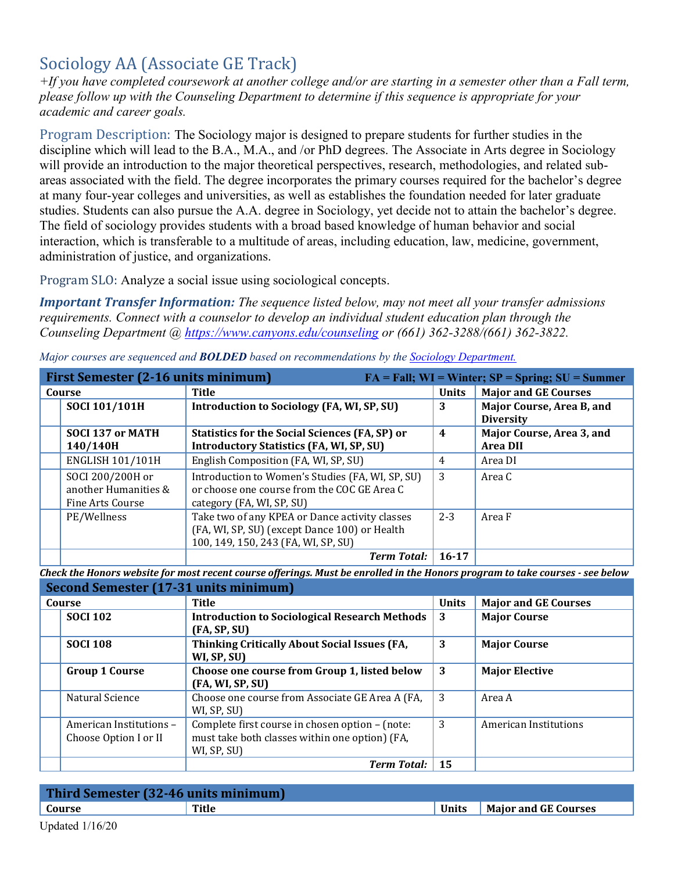# Sociology AA (Associate GE Track)

*+If you have completed coursework at another college and/or are starting in a semester other than a Fall term, please follow up with the Counseling Department to determine if this sequence is appropriate for your academic and career goals.* 

Program Description: The Sociology major is designed to prepare students for further studies in the discipline which will lead to the B.A., M.A., and /or PhD degrees. The Associate in Arts degree in Sociology will provide an introduction to the major theoretical perspectives, research, methodologies, and related subareas associated with the field. The degree incorporates the primary courses required for the bachelor's degree at many four-year colleges and universities, as well as establishes the foundation needed for later graduate studies. Students can also pursue the A.A. degree in Sociology, yet decide not to attain the bachelor's degree. The field of sociology provides students with a broad based knowledge of human behavior and social interaction, which is transferable to a multitude of areas, including education, law, medicine, government, administration of justice, and organizations.

Program SLO: Analyze a social issue using sociological concepts.

*Important Transfer Information: The sequence listed below, may not meet all your transfer admissions requirements. Connect with a counselor to develop an individual student education plan through the Counseling Department @<https://www.canyons.edu/counseling>or (661) 362-3288/(661) 362-3822.* 

|        | First Semester (2-16 units minimum)<br>$FA = Fall; WI = Winter; SP = Spring; SU = Summer$ |                                                                                                                                        |                |                                               |
|--------|-------------------------------------------------------------------------------------------|----------------------------------------------------------------------------------------------------------------------------------------|----------------|-----------------------------------------------|
| Course |                                                                                           | Title                                                                                                                                  | <b>Units</b>   | <b>Major and GE Courses</b>                   |
|        | SOCI 101/101H                                                                             | Introduction to Sociology (FA, WI, SP, SU)                                                                                             | 3              | Major Course, Area B, and<br><b>Diversity</b> |
|        | <b>SOCI 137 or MATH</b>                                                                   | <b>Statistics for the Social Sciences (FA, SP) or</b>                                                                                  | $\overline{4}$ | Major Course, Area 3, and                     |
|        | 140/140H                                                                                  | <b>Introductory Statistics (FA, WI, SP, SU)</b>                                                                                        |                | <b>Area DII</b>                               |
|        | <b>ENGLISH 101/101H</b>                                                                   | English Composition (FA, WI, SP, SU)                                                                                                   | 4              | Area DI                                       |
|        | SOCI 200/200H or<br>another Humanities &<br>Fine Arts Course                              | Introduction to Women's Studies (FA, WI, SP, SU)<br>or choose one course from the COC GE Area C<br>category (FA, WI, SP, SU)           | 3              | Area C                                        |
|        | PE/Wellness                                                                               | Take two of any KPEA or Dance activity classes<br>(FA, WI, SP, SU) (except Dance 100) or Health<br>100, 149, 150, 243 (FA, WI, SP, SU) | $2 - 3$        | Area F                                        |
|        |                                                                                           | <b>Term Total:</b>                                                                                                                     | $16 - 17$      |                                               |

*Major courses are sequenced and BOLDED based on recommendations by the [Sociology Department.](https://www.canyons.edu/academics/sociology/index.php)* 

 *Check the Honors website for most recent course offerings. Must be enrolled in the Honors program to take courses - see below* 

| Second Semester (17-31 units minimum) |                                                  |                                                                                                                  |              |                             |
|---------------------------------------|--------------------------------------------------|------------------------------------------------------------------------------------------------------------------|--------------|-----------------------------|
| Course                                |                                                  | Title                                                                                                            | <b>Units</b> | <b>Major and GE Courses</b> |
|                                       | <b>SOCI 102</b>                                  | <b>Introduction to Sociological Research Methods</b><br>(FA, SP, SU)                                             | 3            | <b>Major Course</b>         |
|                                       | <b>SOCI 108</b>                                  | Thinking Critically About Social Issues (FA,<br>WI, SP, SU)                                                      | 3            | <b>Major Course</b>         |
|                                       | <b>Group 1 Course</b>                            | Choose one course from Group 1, listed below<br>(FA, WI, SP, SU)                                                 | 3            | <b>Major Elective</b>       |
|                                       | Natural Science                                  | Choose one course from Associate GE Area A (FA,<br>WI, SP, SU)                                                   | 3            | Area A                      |
|                                       | American Institutions -<br>Choose Option I or II | Complete first course in chosen option – (note:<br>must take both classes within one option) (FA,<br>WI, SP, SU) | 3            | American Institutions       |
|                                       |                                                  | <b>Term Total:</b>                                                                                               | 15           |                             |

| Third Semester (32-46 units minimum) |       |              |                             |  |
|--------------------------------------|-------|--------------|-----------------------------|--|
| Course                               | Title | <b>Units</b> | <b>Maior and GE Courses</b> |  |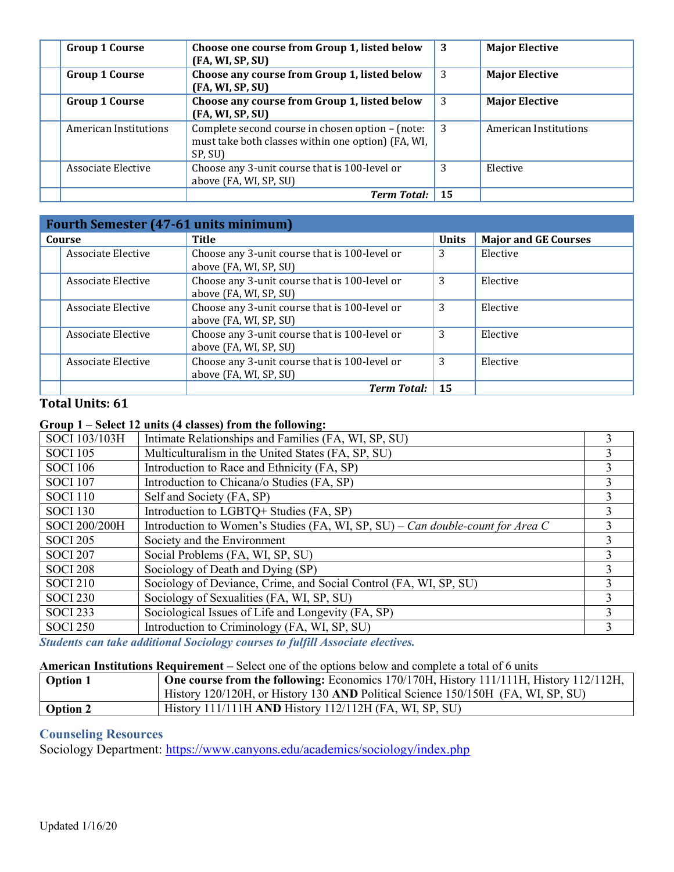| <b>Group 1 Course</b> | Choose one course from Group 1, listed below<br>(FA, WI, SP, SU)                                                  | 3  | <b>Major Elective</b> |
|-----------------------|-------------------------------------------------------------------------------------------------------------------|----|-----------------------|
| <b>Group 1 Course</b> | Choose any course from Group 1, listed below<br>(FA, WI, SP, SU)                                                  | 3  | <b>Major Elective</b> |
| <b>Group 1 Course</b> | Choose any course from Group 1, listed below<br>(FA, WI, SP, SU)                                                  | 3  | <b>Major Elective</b> |
| American Institutions | Complete second course in chosen option - (note:<br>must take both classes within one option) (FA, WI,<br>SP, SU) | -3 | American Institutions |
| Associate Elective    | Choose any 3-unit course that is 100-level or<br>above (FA, WI, SP, SU)                                           | 3  | Elective              |
|                       | <b>Term Total:</b>                                                                                                | 15 |                       |

| <b>Fourth Semester (47-61 units minimum)</b> |                                                                         |              |                             |
|----------------------------------------------|-------------------------------------------------------------------------|--------------|-----------------------------|
| Course                                       | <b>Title</b>                                                            | <b>Units</b> | <b>Major and GE Courses</b> |
| Associate Elective                           | Choose any 3-unit course that is 100-level or<br>above (FA, WI, SP, SU) | 3            | Elective                    |
| Associate Elective                           | Choose any 3-unit course that is 100-level or<br>above (FA, WI, SP, SU) | 3            | Elective                    |
| Associate Elective                           | Choose any 3-unit course that is 100-level or<br>above (FA, WI, SP, SU) | 3            | Elective                    |
| Associate Elective                           | Choose any 3-unit course that is 100-level or<br>above (FA, WI, SP, SU) | 3            | Elective                    |
| Associate Elective                           | Choose any 3-unit course that is 100-level or<br>above (FA, WI, SP, SU) | 3            | Elective                    |
|                                              | <b>Term Total:</b>                                                      | 15           |                             |

# **Total Units: 61**

### **Group 1 – Select 12 units (4 classes) from the following:**

| SOCI 103/103H   | Intimate Relationships and Families (FA, WI, SP, SU)                           |   |
|-----------------|--------------------------------------------------------------------------------|---|
| <b>SOCI 105</b> | Multiculturalism in the United States (FA, SP, SU)                             | 3 |
| <b>SOCI 106</b> | Introduction to Race and Ethnicity (FA, SP)                                    |   |
| <b>SOCI 107</b> | Introduction to Chicana/o Studies (FA, SP)                                     | 3 |
| <b>SOCI 110</b> | Self and Society (FA, SP)                                                      | 3 |
| <b>SOCI 130</b> | Introduction to LGBTQ+ Studies (FA, SP)                                        |   |
| SOCI 200/200H   | Introduction to Women's Studies (FA, WI, SP, SU) – Can double-count for Area C | 3 |
| <b>SOCI 205</b> | Society and the Environment                                                    |   |
| <b>SOCI 207</b> | Social Problems (FA, WI, SP, SU)                                               | 3 |
| <b>SOCI 208</b> | Sociology of Death and Dying (SP)                                              | 3 |
| <b>SOCI 210</b> | Sociology of Deviance, Crime, and Social Control (FA, WI, SP, SU)              |   |
| <b>SOCI 230</b> | Sociology of Sexualities (FA, WI, SP, SU)                                      | 3 |
| <b>SOCI 233</b> | Sociological Issues of Life and Longevity (FA, SP)                             |   |
| <b>SOCI 250</b> | Introduction to Criminology (FA, WI, SP, SU)                                   |   |

*Students can take additional Sociology courses to fulfill Associate electives.* 

#### **American Institutions Requirement –** Select one of the options below and complete a total of 6 units

| <b>Option 1</b> | <b>One course from the following:</b> Economics $170/170H$ , History $11/111H$ , History $112/112H$ , |
|-----------------|-------------------------------------------------------------------------------------------------------|
|                 | History 120/120H, or History 130 AND Political Science 150/150H (FA, WI, SP, SU)                      |
| <b>Option 2</b> | $History 111/111H AND History 112/112H (FA, WI, SP, SU)$                                              |

## **Counseling Resources**

Sociology Department: https://www.canyons.edu/academics/sociology/index.php